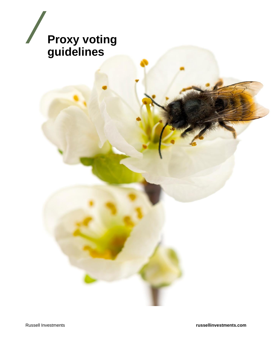

Russell Investments **russellinvestments.com**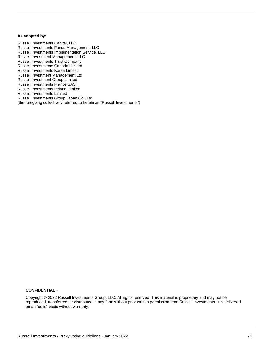#### <span id="page-1-0"></span>**As adopted by:**

Russell Investments Capital, LLC Russell Investments Funds Management, LLC Russell Investments Implementation Service, LLC Russell Investment Management, LLC Russell Investments Trust Company Russell Investments Canada Limited Russell Investments Korea Limited Russell Investment Management Ltd Russell Investment Group Limited Russell Investments France SAS Russell Investments Ireland Limited Russell Investments Limited Russell Investments Group Japan Co., Ltd. (the foregoing collectively referred to herein as "Russell Investments")

#### **CONFIDENTIAL -**

Copyright © 2022 Russell Investments Group, LLC. All rights reserved. This material is proprietary and may not be reproduced, transferred, or distributed in any form without prior written permission from Russell Investments. It is delivered on an "as is" basis without warranty.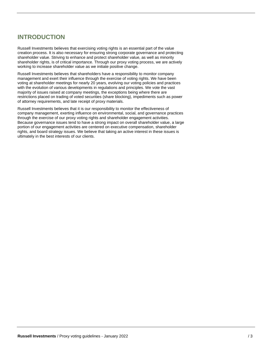## **INTRODUCTION**

Russell Investments believes that exercising voting rights is an essential part of the value creation process. It is also necessary for ensuring strong corporate governance and protecting shareholder value. Striving to enhance and protect shareholder value, as well as minority shareholder rights, is of critical importance. Through our proxy voting process, we are actively working to increase shareholder value as we initiate positive change.

Russell Investments believes that shareholders have a responsibility to monitor company management and exert their influence through the exercise of voting rights. We have been voting at shareholder meetings for nearly 20 years, evolving our voting policies and practices with the evolution of various developments in regulations and principles. We vote the vast majority of issues raised at company meetings, the exceptions being where there are restrictions placed on trading of voted securities (share blocking), impediments such as power of attorney requirements, and late receipt of proxy materials.

Russell Investments believes that it is our responsibility to monitor the effectiveness of company management, exerting influence on environmental, social, and governance practices through the exercise of our proxy voting rights and shareholder engagement activities. Because governance issues tend to have a strong impact on overall shareholder value, a large portion of our engagement activities are centered on executive compensation, shareholder rights, and board strategy issues. We believe that taking an active interest in these issues is ultimately in the best interests of our clients.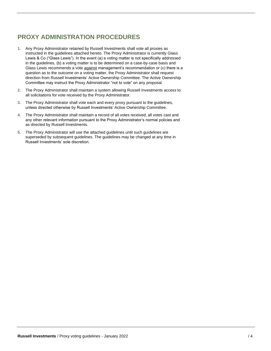## <span id="page-3-0"></span>**PROXY ADMINISTRATION PROCEDURES**

- **1.** Any Proxy Administrator retained by Russell Investments shall vote all proxies as instructed in the guidelines attached hereto. The Proxy Administrator is currently Glass Lewis & Co ("Glass Lewis"). In the event (a) a voting matter is not specifically addressed in the guidelines, (b) a voting matter is to be determined on a case-by-case basis and Glass Lewis recommends a vote against management's recommendation or (c) there is a question as to the outcome on a voting matter, the Proxy Administrator shall request direction from Russell Investments' Active Ownership Committee. The Active Ownership Committee may instruct the Proxy Administrator "not to vote" on any proposal.
- **2.** The Proxy Administrator shall maintain a system allowing Russell Investments access to all solicitations for vote received by the Proxy Administrator.
- **3.** The Proxy Administrator shall vote each and every proxy pursuant to the guidelines, unless directed otherwise by Russell Investments' Active Ownership Committee.
- **4.** The Proxy Administrator shall maintain a record of all votes received, all votes cast and any other relevant information pursuant to the Proxy Administrator's normal policies and as directed by Russell Investments.
- **5.** The Proxy Administrator will use the attached guidelines until such guidelines are superseded by subsequent guidelines. The guidelines may be changed at any time in Russell Investments' sole discretion.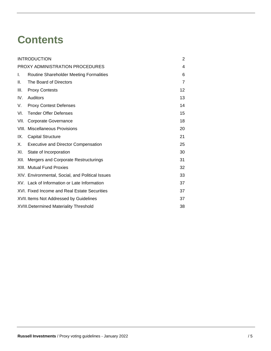# **Contents**

| <b>INTRODUCTION</b>             |                                                  | 2  |
|---------------------------------|--------------------------------------------------|----|
| PROXY ADMINISTRATION PROCEDURES |                                                  | 4  |
| I.                              | Routine Shareholder Meeting Formalities          | 6  |
| Ш.                              | The Board of Directors                           | 7  |
| III.                            | <b>Proxy Contests</b>                            | 12 |
| IV.                             | Auditors                                         | 13 |
| V.                              | <b>Proxy Contest Defenses</b>                    | 14 |
| VI.                             | <b>Tender Offer Defenses</b>                     | 15 |
| VII.                            | Corporate Governance                             | 18 |
|                                 | <b>VIII. Miscellaneous Provisions</b>            | 20 |
| IX.                             | <b>Capital Structure</b>                         | 21 |
| Χ.                              | <b>Executive and Director Compensation</b>       | 25 |
| XI.                             | State of Incorporation                           | 30 |
| XII.                            | Mergers and Corporate Restructurings             | 31 |
|                                 | <b>XIII. Mutual Fund Proxies</b>                 | 32 |
|                                 | XIV. Environmental, Social, and Political Issues | 33 |
|                                 | XV. Lack of Information or Late Information      | 37 |
|                                 | XVI. Fixed Income and Real Estate Securities     | 37 |
|                                 | XVII. Items Not Addressed by Guidelines          | 37 |
|                                 | <b>XVIII.Determined Materiality Threshold</b>    |    |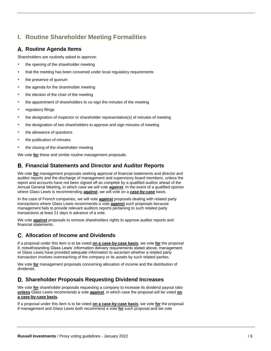## <span id="page-5-0"></span>**I. Routine Shareholder Meeting Formalities**

## **Routine Agenda Items**

Shareholders are routinely asked to approve:

- the opening of the shareholder meeting
- that the meeting has been convened under local regulatory requirements
- the presence of quorum
- the agenda for the shareholder meeting
- the election of the chair of the meeting
- the appointment of shareholders to co-sign the minutes of the meeting
- regulatory filings
- the designation of inspector or shareholder representative(s) of minutes of meeting
- the designation of two shareholders to approve and sign minutes of meeting
- the allowance of questions
- the publication of minutes
- the closing of the shareholder meeting

We vote **for** these and similar routine management proposals.

## **Financial Statements and Director and Auditor Reports**

We vote **for** management proposals seeking approval of financial statements and director and auditor reports and the discharge of management and supervisory board members, unless the report and accounts have not been signed off as complete by a qualified auditor ahead of the Annual General Meeting, in which case we will vote **against**. In the event of a qualified opinion where Glass Lewis is recommending **against**, we will vote on a **case-by-case** basis.

In the case of French companies, we will vote **against** proposals dealing with related party transactions where Glass Lewis recommends a vote **against** such proposals because management fails to provide relevant auditors reports pertaining to such related party transactions at least 21 days in advance of a vote.

We vote **against** proposals to remove shareholders rights to approve auditor reports and financial statements.

## **Allocation of Income and Dividends**

If a proposal under this item is to be voted **on a case-by-case basis**, we vote **for** the proposal if, notwithstanding Glass Lewis' information delivery requirements stated above, management or Glass Lewis have provided adequate information to ascertain whether a related party transaction involves overreaching of the company or its assets by such related parties.

We vote **for** management proposals concerning allocation of income and the distribution of dividends.

## **Shareholder Proposals Requesting Dividend Increases**

We vote **for** shareholder proposals requesting a company to increase its dividend payout ratio **unless** Glass Lewis recommends a vote **against**, in which case the proposal will be voted **on a case-by-case basis.**

If a proposal under this item is to be voted **on a case-by-case basis**, we vote **for** the proposal if management and Glass Lewis both recommend a vote **for** such proposal and we vote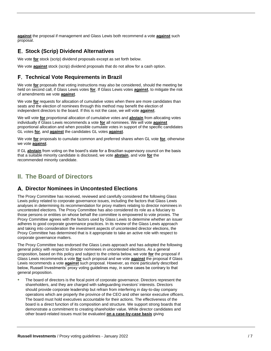**against** the proposal if management and Glass Lewis both recommend a vote **against** such proposal.

## **Stock (Scrip) Dividend Alternatives**

We vote **for** stock (scrip) dividend proposals except as set forth below.

We vote **against** stock (scrip) dividend proposals that do not allow for a cash option.

## **Technical Vote Requirements in Brazil**

We vote **for** proposals that voting instructions may also be considered, should the meeting be held on second call, if Glass Lewis votes **for**. If Glass Lewis votes **against**, to mitigate the risk of amendments we vote **against**.

We vote **for** requests for allocation of cumulative votes when there are more candidates than seats and the election of nominees through this method may benefit the election of independent directors to the board. If this is not the case, we will vote **against**.

We will vote **for** proportional allocation of cumulative votes and **abstain** from allocating votes individually if Glass Lewis recommends a vote **for** all nominees. We will vote **against** proportional allocation and when possible cumulate votes in support of the specific candidates GL votes **for**, and **against** the candidates GL votes **against**.

We vote **for** proposals to cumulate common and preferred shares when GL vote **for**, otherwise we vote **against**.

If GL **abstain** from voting on the board's slate for a Brazilian supervisory council on the basis that a suitable minority candidate is disclosed, we vote **abstain**, and vote **for** the recommended minority candidate.

## <span id="page-6-0"></span>**II. The Board of Directors**

## **Director Nominees in Uncontested Elections**

The Proxy Committee has received, reviewed and carefully considered the following Glass Lewis policy related to corporate governance issues, including the factors that Glass Lewis analyses in determining its recommendation for proxy matters relating to director nominees in uncontested elections. The Proxy Committee has also considered its role as a fiduciary to those persons or entities on whose behalf the committee is empowered to vote proxies. The Proxy Committee agrees with the factors used by Glass Lewis to determine whether an issuer adheres to good corporate governance practices. In its review of the Glass Lewis approach and taking into consideration the investment aspects of uncontested director elections, the Proxy Committee has determined that is it appropriate to take an active role with respect to corporate governance matters.

The Proxy Committee has endorsed the Glass Lewis approach and has adopted the following general policy with respect to director nominees in uncontested elections. As a general proposition, based on this policy and subject to the criteria below, we vote **for** the proposal if Glass Lewis recommends a vote **for** such proposal and we vote **against** the proposal if Glass Lewis recommends a vote **against** such proposal. However, as more particularly described below, Russell Investments' proxy voting guidelines may, in some cases be contrary to that general proposition.

• The board of directors is the focal point of corporate governance. Directors represent the shareholders, and they are charged with safeguarding investors' interests. Directors should provide corporate leadership but refrain from interfering in day-to-day company operations which are properly the province of the CEO and other senior executive officers. The board must hold executives accountable for their actions. The effectiveness of the board is a direct function of its composition and structure. We support strong boards that demonstrate a commitment to creating shareholder value. While director candidates and other board-related issues must be evaluated **on a case-by-case basis** giving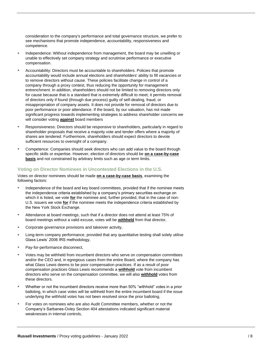consideration to the company's performance and total governance structure, we prefer to see mechanisms that promote independence, accountability, responsiveness and competence.

- Independence: Without independence from management, the board may be unwilling or unable to effectively set company strategy and scrutinise performance or executive compensation.
- Accountability: Directors must be accountable to shareholders. Policies that promote accountability would include annual elections and shareholders' ability to fill vacancies or to remove directors without cause. These policies facilitate change in control of a company through a proxy contest, thus reducing the opportunity for management entrenchment. In addition, shareholders should not be limited to removing directors only for cause because that is a standard that is extremely difficult to meet; it permits removal of directors only if found (through due process) guilty of self-dealing, fraud, or misappropriation of company assets. It does not provide for removal of directors due to poor performance or poor attendance. If the board, by our valuation, has not made significant progress towards implementing strategies to address shareholder concerns we will consider voting **against** board members
- Responsiveness: Directors should be responsive to shareholders, particularly in regard to shareholder proposals that receive a majority vote and tender offers where a majority of shares are tendered. Furthermore, shareholders should expect directors to devote sufficient resources to oversight of a company.
- Competence: Companies should seek directors who can add value to the board through specific skills or expertise. However, election of directors should be **on a case-by-case basis** and not constrained by arbitrary limits such as age or term limits.

#### **Voting on Director Nominees in Uncontested Elections in the U.S.**

Votes on director nominees should be made **on a case-by-case basis**, examining the following factors:

- Independence of the board and key board committees, provided that if the nominee meets the independence criteria established by a company's primary securities exchange on which it is listed, we vote **for** the nominee and, further provided, that in the case of non-U.S. issuers we vote **for** if the nominee meets the independence criteria established by the New York Stock Exchange.
- Attendance at board meetings, such that if a director does not attend at least 75% of board meetings without a valid excuse, votes will be **withheld** from that director,
- Corporate governance provisions and takeover activity,
- Long-term company performance, provided that any quantitative testing shall solely utilise Glass Lewis' 2006 IRS methodology,
- Pay-for-performance disconnect.
- Votes may be withheld from incumbent directors who serve on compensation committees and/or the CEO and, in egregious cases from the entire Board, where the company has what Glass Lewis deems to be poor compensation practices. If as a result of poor compensation practices Glass Lewis recommends a **withhold** vote from incumbent directors who serve on the compensation committee, we will also **withhold** votes from these directors.
- Whether or not the incumbent directors receive more than 50% "withhold" votes in a prior balloting, in which case votes will be withheld from the entire incumbent board if the issue underlying the withhold votes has not been resolved since the prior balloting,
- For votes on nominees who are also Audit Committee members, whether or not the Company's Sarbanes-Oxley Section 404 attestations indicated significant material weaknesses in internal controls,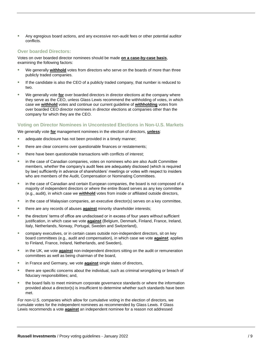• Any egregious board actions, and any excessive non-audit fees or other potential auditor conflicts.

#### **Over boarded Directors:**

Votes on over boarded director nominees should be made **on a case-by-case basis**, examining the following factors:

- We generally withhold votes from directors who serve on the boards of more than three publicly traded companies.
- If the candidate is also the CEO of a publicly traded company, that number is reduced to two.
- We generally vote **for** over boarded directors in director elections at the company where they serve as the CEO, unless Glass Lewis recommend the withholding of votes, in which case we **withhold** votes and continue our current guideline of **withholding** votes from over boarded CEO director nominees in director elections at companies other than the company for which they are the CEO.

#### **Voting on Director Nominees in Uncontested Elections in Non-U.S. Markets**

We generally vote **for** management nominees in the election of directors, **unless**:

- adequate disclosure has not been provided in a timely manner;
- there are clear concerns over questionable finances or restatements;
- there have been questionable transactions with conflicts of interest;
- in the case of Canadian companies, votes on nominees who are also Audit Committee members, whether the company's audit fees are adequately disclosed (which is required by law) sufficiently in advance of shareholders' meetings or votes with respect to insiders who are members of the Audit, Compensation or Nominating Committees.
- in the case of Canadian and certain European companies, the board is not composed of a majority of independent directors or where the entire Board serves as any key committee (e.g., audit), in which case we **withhold** votes from inside or affiliated outside directors,
- in the case of Malaysian companies, an executive director(s) serves on a key committee,
- there are any records of abuses **against** minority shareholder interests;
- the directors' terms of office are undisclosed or in excess of four years without sufficient justification, in which case we vote **against** (Belgium, Denmark, Finland, France, Ireland, Italy, Netherlands, Norway, Portugal, Sweden and Switzerland),
- company executives, or in certain cases outside non-independent directors, sit on key board committees (e.g., audit and compensation), in which case we vote **against**; applies to Finland, France, Ireland, Netherlands, and Sweden),
- in the UK, we vote **against** non-independent directors sitting on the audit or remuneration committees as well as being chairman of the board,
- in France and Germany, we vote **against** single slates of directors,
- there are specific concerns about the individual, such as criminal wrongdoing or breach of fiduciary responsibilities; and,
- the board fails to meet minimum corporate governance standards or where the information provided about a director(s) is insufficient to determine whether such standards have been met.

For non-U.S. companies which allow for cumulative voting in the election of directors, we cumulate votes for the independent nominees as recommended by Glass Lewis. If Glass Lewis recommends a vote **against** an independent nominee for a reason not addressed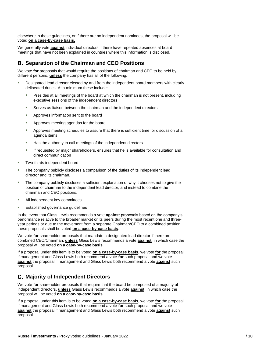elsewhere in these guidelines, or if there are no independent nominees, the proposal will be voted **on a case-by-case basis.**

We generally vote **against** individual directors if there have repeated absences at board meetings that have not been explained in countries where this information is disclosed.

## **Separation of the Chairman and CEO Positions**

We vote **for** proposals that would require the positions of chairman and CEO to be held by different persons, **unless** the company has all of the following:

- Designated lead director elected by and from the independent board members with clearly delineated duties. At a minimum these include:
	- Presides at all meetings of the board at which the chairman is not present, including executive sessions of the independent directors
	- Serves as liaison between the chairman and the independent directors
	- Approves information sent to the board
	- Approves meeting agendas for the board
	- Approves meeting schedules to assure that there is sufficient time for discussion of all agenda items
	- Has the authority to call meetings of the independent directors
	- If requested by major shareholders, ensures that he is available for consultation and direct communication
- Two-thirds independent board
- The company publicly discloses a comparison of the duties of its independent lead director and its chairman.
- The company publicly discloses a sufficient explanation of why it chooses not to give the position of chairman to the independent lead director, and instead to combine the chairman and CEO positions.
- All independent key committees
- Established governance guidelines

In the event that Glass Lewis recommends a vote **against** proposals based on the company's performance relative to the broader market or its peers during the most recent one and threeyear periods or due to the movement from a separate Chairman/CEO to a combined position, these proposals shall be voted **on a case-by-case basis**.

We vote **for** shareholder proposals that mandate a designated lead director if there are combined CEO/Chairman, **unless** Glass Lewis recommends a vote **against**, in which case the proposal will be voted **on a case-by-case basis**.

If a proposal under this item is to be voted **on a case-by-case basis**, we vote **for** the proposal if management and Glass Lewis both recommend a vote **for** such proposal and we vote **against** the proposal if management and Glass Lewis both recommend a vote **against** such proposal.

## **Majority of Independent Directors**

We vote **for** shareholder proposals that require that the board be composed of a majority of independent directors, **unless** Glass Lewis recommends a vote **against**, in which case the proposal will be voted **on a case-by-case basis**.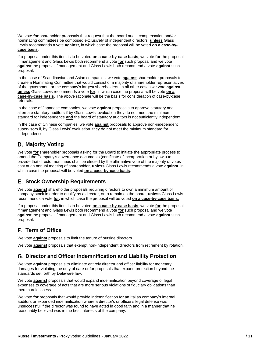We vote **for** shareholder proposals that request that the board audit, compensation and/or nominating committees be composed exclusively of independent directors, **unless** Glass Lewis recommends a vote **against**, in which case the proposal will be voted **on a case-bycase basis**.

If a proposal under this item is to be voted **on a case-by-case basis**, we vote **for** the proposal if management and Glass Lewis both recommend a vote **for** such proposal and we vote **against** the proposal if management and Glass Lewis both recommend a vote **against** such proposal.

In the case of Scandinavian and Asian companies, we vote **against** shareholder proposals to create a Nominating Committee that would consist of a majority of shareholder representatives of the government or the company's largest shareholders. In all other cases we vote **against, unless** Glass Lewis recommends a vote **for**, in which case the proposal will be vote **on a case-by-case basis**. The above rationale will be the basis for consideration of case-by-case referrals.

In the case of Japanese companies, we vote **against** proposals to approve statutory and alternate statutory auditors if by Glass Lewis' evaluation they do not meet the minimum standard for independence **and** the board of statutory auditors is not sufficiently independent.

In the case of Chinese companies, we vote **against** proposals to approve non-independent supervisors if, by Glass Lewis' evaluation, they do not meet the minimum standard for independence.

## **Majority Voting**

We vote **for** shareholder proposals asking for the Board to initiate the appropriate process to amend the Company's governance documents (certificate of incorporation or bylaws) to provide that director nominees shall be elected by the affirmative vote of the majority of votes cast at an annual meeting of shareholder, **unless** Glass Lewis recommends a vote **against**, in which case the proposal will be voted **on a case-by-case basis**.

## **Stock Ownership Requirements**

We vote **against** shareholder proposals requiring directors to own a minimum amount of company stock in order to qualify as a director, or to remain on the board, **unless** Glass Lewis recommends a vote **for**, in which case the proposal will be voted **on a case-by-case basis**.

If a proposal under this item is to be voted **on a case-by-case basis**, we vote **for** the proposal if management and Glass Lewis both recommend a vote **for** such proposal and we vote **against** the proposal if management and Glass Lewis both recommend a vote **against** such proposal.

## **Term of Office**

We vote **against** proposals to limit the tenure of outside directors.

We vote **against** proposals that exempt non-independent directors from retirement by rotation.

## **Director and Officer Indemnification and Liability Protection**

We vote **against** proposals to eliminate entirely director and officer liability for monetary damages for violating the duty of care or for proposals that expand protection beyond the standards set forth by Delaware law.

We vote **against** proposals that would expand indemnification beyond coverage of legal expenses to coverage of acts that are more serious violations of fiduciary obligations than mere carelessness.

We vote **for** proposals that would provide indemnification for an Italian company's internal auditors or expanded indemnification where a director's or officer's legal defense was unsuccessful if the director was found to have acted in good faith and in a manner that he reasonably believed was in the best interests of the company.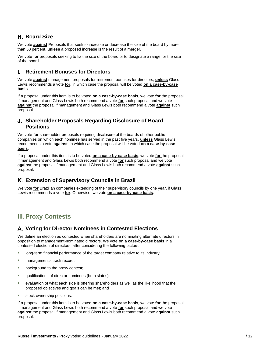## **Board Size**

We vote **against** Proposals that seek to increase or decrease the size of the board by more than 50 percent, **unless** a proposed increase is the result of a merger.

We vote **for** proposals seeking to fix the size of the board or to designate a range for the size of the board.

#### L **Retirement Bonuses for Directors**

We vote **against** management proposals for retirement bonuses for directors, **unless** Glass Lewis recommends a vote **for**, in which case the proposal will be voted **on a case-by-case basis**.

If a proposal under this item is to be voted **on a case-by-case basis**, we vote **for** the proposal if management and Glass Lewis both recommend a vote **for** such proposal and we vote **against** the proposal if management and Glass Lewis both recommend a vote **against** such proposal.

#### **Shareholder Proposals Regarding Disclosure of Board Positions**

We vote **for** shareholder proposals requiring disclosure of the boards of other public companies on which each nominee has served in the past five years, **unless** Glass Lewis recommends a vote **against**, in which case the proposal will be voted **on a case-by-case basis**.

If a proposal under this item is to be voted **on a case-by-case basis**, we vote **for** the proposal if management and Glass Lewis both recommend a vote **for** such proposal and we vote **against** the proposal if management and Glass Lewis both recommend a vote **against** such proposal.

## **Extension of Supervisory Councils in Brazil**

We vote **for** Brazilian companies extending of their supervisory councils by one year, if Glass Lewis recommends a vote **for**. Otherwise, we vote **on a case-by-case basis**.

## <span id="page-11-0"></span>**III. Proxy Contests**

## **Voting for Director Nominees in Contested Elections**

We define an election as contested when shareholders are nominating alternate directors in opposition to management-nominated directors. We vote **on a case-by-case basis** in a contested election of directors, after considering the following factors:

- long-term financial performance of the target company relative to its industry;
- management's track record;
- background to the proxy contest;
- qualifications of director nominees (both slates);
- evaluation of what each side is offering shareholders as well as the likelihood that the proposed objectives and goals can be met; and
- stock ownership positions.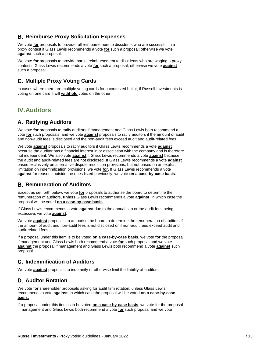## **Reimburse Proxy Solicitation Expenses**

We vote **for** proposals to provide full reimbursement to dissidents who are successful in a proxy contest if Glass Lewis recommends a vote **for** such a proposal; otherwise we vote **against** such a proposal.

We vote **for** proposals to provide partial reimbursement to dissidents who are waging a proxy contest if Glass Lewis recommends a vote **for** such a proposal; otherwise we vote **against** such a proposal.

## **Multiple Proxy Voting Cards**

In cases where there are multiple voting cards for a contested ballot, if Russell Investments is voting on one card it will **withhold** votes on the other.

## <span id="page-12-0"></span>**IV.Auditors**

## **Ratifying Auditors**

We vote **for** proposals to ratify auditors if management and Glass Lewis both recommend a vote **for** such proposals, and we vote **against** proposals to ratify auditors if the amount of audit and non-audit fees is disclosed and the non-audit fees exceed audit and audit-related fees.

We vote **against** proposals to ratify auditors if Glass Lewis recommends a vote **against** because the auditor has a financial interest in or association with the company and is therefore not independent. We also vote **against** if Glass Lewis recommends a vote **against** because the audit and audit-related fees are not disclosed. If Glass Lewis recommends a vote **against** based exclusively on alternative dispute resolution provisions, but not based on an explicit limitation on indemnification provisions, we vote **for.** If Glass Lewis recommends a vote **against** for reasons outside the ones listed previously, we vote **on a case-by-case basis**.

## **Remuneration of Auditors**

Except as set forth below, we vote **for** proposals to authorise the board to determine the remuneration of auditors, **unless** Glass Lewis recommends a vote **against**, in which case the proposal will be voted **on a case-by-case basis**.

If Glass Lewis recommends a vote **against** due to the annual cap or the audit fees being excessive, we vote **against**.

We vote **against** proposals to authorise the board to determine the remuneration of auditors if the amount of audit and non-audit fees is not disclosed or if non-audit fees exceed audit and audit-related fees.

If a proposal under this item is to be voted **on a case-by-case basis**, we vote **for** the proposal if management and Glass Lewis both recommend a vote **for** such proposal and we vote **against** the proposal if management and Glass Lewis both recommend a vote **against** such proposal.

## **Indemnification of Auditors**

We vote **against** proposals to indemnify or otherwise limit the liability of auditors.

## **Auditor Rotation**

We vote **for** shareholder proposals asking for audit firm rotation, unless Glass Lewis recommends a vote **against**, in which case the proposal will be voted **on a case-by-case basis.** 

If a proposal under this item is to be voted **on a case-by-case basis**, we vote for the proposal if management and Glass Lewis both recommend a vote **for** such proposal and we vote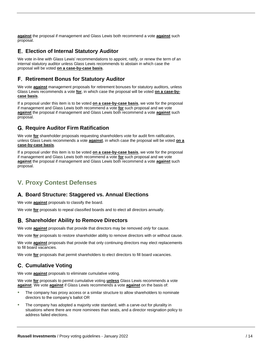**against** the proposal if management and Glass Lewis both recommend a vote **against** such proposal.

## **Election of Internal Statutory Auditor**

We vote in-line with Glass Lewis' recommendations to appoint, ratify, or renew the term of an internal statutory auditor unless Glass Lewis recommends to abstain in which case the proposal will be voted **on a case-by-case basis**.

#### **Retirement Bonus for Statutory Auditor**

We vote **against** management proposals for retirement bonuses for statutory auditors, unless Glass Lewis recommends a vote **for**, in which case the proposal will be voted **on a case-bycase basis**.

If a proposal under this item is to be voted **on a case-by-case basis**, we vote for the proposal if management and Glass Lewis both recommend a vote **for** such proposal and we vote **against** the proposal if management and Glass Lewis both recommend a vote **against** such proposal.

## **Require Auditor Firm Ratification**

We vote **for** shareholder proposals requesting shareholders vote for audit firm ratification, unless Glass Lewis recommends a vote **against**, in which case the proposal will be voted **on a case-by-case basis**.

If a proposal under this item is to be voted **on a case-by-case basis**, we vote for the proposal if management and Glass Lewis both recommend a vote **for** such proposal and we vote **against** the proposal if management and Glass Lewis both recommend a vote **against** such proposal.

## <span id="page-13-0"></span>**V. Proxy Contest Defenses**

## **Board Structure: Staggered vs. Annual Elections**

We vote **against** proposals to classify the board.

We vote **for** proposals to repeal classified boards and to elect all directors annually.

## **Shareholder Ability to Remove Directors**

We vote **against** proposals that provide that directors may be removed *only* for cause.

We vote **for** proposals to restore shareholder ability to remove directors with or without cause.

We vote **against** proposals that provide that only continuing directors may elect replacements to fill board vacancies.

We vote **for** proposals that permit shareholders to elect directors to fill board vacancies.

## **C. Cumulative Voting**

We vote **against** proposals to eliminate cumulative voting.

We vote **for** proposals to permit cumulative voting **unless** Glass Lewis recommends a vote **against**. We vote **against** if Glass Lewis recommends a vote **against** on the basis of:

- The company has proxy access or a similar structure to allow shareholders to nominate directors to the company's ballot OR
- The company has adopted a majority vote standard, with a carve-out for plurality in situations where there are more nominees than seats, and a director resignation policy to address failed elections.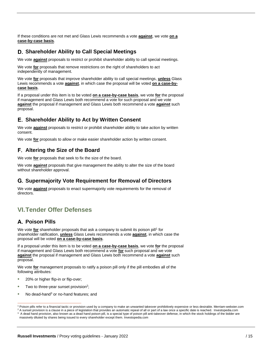If these conditions are not met and Glass Lewis recommends a vote **against**, we vote **on a case-by-case basis**.

#### **Shareholder Ability to Call Special Meetings**

We vote **against** proposals to restrict or prohibit shareholder ability to call special meetings.

We vote **for** proposals that remove restrictions on the right of shareholders to act independently of management.

We vote **for** proposals that improve shareholder ability to call special meetings, **unless** Glass Lewis recommends a vote **against**, in which case the proposal will be voted **on a case-bycase basis**.

If a proposal under this item is to be voted **on a case-by-case basis**, we vote **for** the proposal if management and Glass Lewis both recommend a vote for such proposal and we vote **against** the proposal if management and Glass Lewis both recommend a vote **against** such proposal.

#### **Shareholder Ability to Act by Written Consent**

We vote **against** proposals to restrict or prohibit shareholder ability to take action by written consent.

We vote **for** proposals to allow or make easier shareholder action by written consent.

## **Altering the Size of the Board**

We vote **for** proposals that seek to fix the size of the board.

We vote **against** proposals that give management the ability to alter the size of the board without shareholder approval.

## **Supermajority Vote Requirement for Removal of Directors**

We vote **against** proposals to enact supermajority vote requirements for the removal of directors.

## <span id="page-14-0"></span>**VI.Tender Offer Defenses**

## **Poison Pills**

We vote for shareholder proposals that ask a company to submit its poison pill<sup>1</sup> for shareholder ratification, **unless** Glass Lewis recommends a vote **against**, in which case the proposal will be voted **on a case-by-case basis**.

If a proposal under this item is to be voted **on a case-by-case basis**, we vote **for** the proposal if management and Glass Lewis both recommend a vote **for** such proposal and we vote **against** the proposal if management and Glass Lewis both recommend a vote **against** such proposal.

We vote **for** management proposals to ratify a poison pill only if the pill embodies all of the following attributes:

- 20% or higher flip-in or flip-over;
- Two to three-year sunset provision<sup>2</sup>;
- No dead-hand $3$  or no-hand features; and

<sup>&</sup>lt;sup>1</sup> Poison pills refer to a financial tactic or provision used by a company to make an unwanted takeover prohibitively expensive or less desirable. Merriam-webster.com

<sup>&</sup>lt;sup>2</sup> A sunset provision is a clause in a piece of legislation that provides an automatic repeal of all or part of a law once a specific date is reached. Investopedia.com <sup>3</sup> A dead hand provision, also known as a dead hand poison pill, is a special type of poison pill anti-takeover defense, in which the stock holdings of the bidder are massively diluted by shares being issued to every shareholder except them. Investopedia.com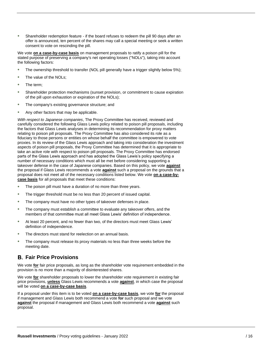• Shareholder redemption feature - if the board refuses to redeem the pill 90 days after an offer is announced, ten percent of the shares may call a special meeting or seek a written consent to vote on rescinding the pill.

We vote **on a case-by-case basis** on management proposals to ratify a poison pill for the stated purpose of preserving a company's net operating losses ("NOLs"), taking into account the following factors:

- The ownership threshold to transfer (NOL pill generally have a trigger slightly below 5%);
- The value of the NOLs;
- The term:
- Shareholder protection mechanisms (sunset provision, or commitment to cause expiration of the pill upon exhaustion or expiration of the NOLs);
- The company's existing governance structure; and
- Any other factors that may be applicable.

*With respect to Japanese companies*, The Proxy Committee has received, reviewed and carefully considered the following Glass Lewis policy related to poison pill proposals, including the factors that Glass Lewis analyses in determining its recommendation for proxy matters relating to poison pill proposals. The Proxy Committee has also considered its role as a fiduciary to those persons or entities on whose behalf the committee is empowered to vote proxies. In its review of the Glass Lewis approach and taking into consideration the investment aspects of poison pill proposals, the Proxy Committee has determined that it is appropriate to take an active role with respect to poison pill proposals. The Proxy Committee has endorsed parts of the Glass Lewis approach and has adopted the Glass Lewis's policy specifying a number of necessary conditions which must all be met before considering supporting a takeover defense in the case of Japanese companies. Based on this policy, we vote **against** the proposal if Glass Lewis recommends a vote **against** such a proposal on the grounds that a proposal does not meet all of the necessary conditions listed below. We vote **on a case-bycase basis** for all proposals that meet these conditions:

- The poison pill must have a duration of no more than three years.
- The trigger threshold must be no less than 20 percent of issued capital.
- The company must have no other types of takeover defenses in place.
- The company must establish a committee to evaluate any takeover offers, and the members of that committee must all meet Glass Lewis' definition of independence.
- At least 20 percent, and no fewer than two, of the directors must meet Glass Lewis' definition of independence.
- The directors must stand for reelection on an annual basis.
- The company must release its proxy materials no less than three weeks before the meeting date.

## **Fair Price Provisions**

We vote **for** fair price proposals, as long as the shareholder vote requirement embedded in the provision is no more than a majority of disinterested shares.

We vote **for** shareholder proposals to lower the shareholder vote requirement in existing fair price provisions, **unless** Glass Lewis recommends a vote **against**, in which case the proposal will be voted **on a case-by-case basis**.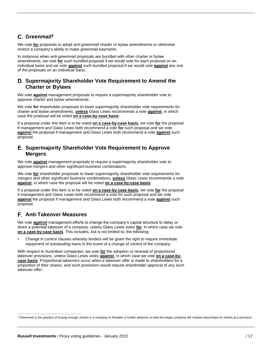## **Greenmail<sup>4</sup>**

We vote **for** proposals to adopt anti-greenmail charter or bylaw amendments or otherwise restrict a company's ability to make greenmail payments.

In instances when anti-greenmail proposals are bundled with other charter or bylaw amendments, we vote **for** such bundled proposal if we would vote for each proposal on an individual basis and we vote **against** such bundled proposal if we would vote **against** any one of the proposals on an individual basis.

#### **Supermajority Shareholder Vote Requirement to Amend the Charter or Bylaws**

We vote **against** management proposals to require a supermajority shareholder vote to approve charter and bylaw amendments.

We vote **for** shareholder proposals to lower supermajority shareholder vote requirements for charter and bylaw amendments, **unless** Glass Lewis recommends a vote **against**, in which case the proposal will be voted **on a case-by-case basis**.

If a proposal under this item is to be voted **on a case-by-case basis**, we vote **for** the proposal if management and Glass Lewis both recommend a vote **for** such proposal and we vote **against** the proposal if management and Glass Lewis both recommend a vote **against** such proposal.

#### **Supermajority Shareholder Vote Requirement to Approve Mergers**

We vote **against** management proposals to require a supermajority shareholder vote to approve mergers and other significant business combinations.

We vote **for** shareholder proposals to lower supermajority shareholder vote requirements for mergers and other significant business combinations, **unless** Glass Lewis recommends a vote **against**, in which case the proposal will be voted **on a case-by-case basis**.

If a proposal under this item is to be voted **on a case-by-case basis**, we vote **for** the proposal if management and Glass Lewis both recommend a vote for such proposal and we vote **against** the proposal if management and Glass Lewis both recommend a vote **against** such proposal.

## **Anti-Takeover Measures**

We vote **against** management efforts to change the company's capital structure to delay or divert a potential takeover of a company, unless Glass Lewis votes **for**, in which case we vote **on a case-by-case basis**. This includes, but is not limited to, the following:

• Change in control clauses whereby lenders will be given the right to require immediate repayment of outstanding loans in the event of a change of control of the company.

With respect to Australian companies, we vote **for** the adoption or renewal of proportional takeover provisions, unless Glass Lewis votes **against**, in which case we vote **on a case-bycase basis**. Proportional takeovers occur when a takeover offer is made to shareholders for a proportion of their shares, and such provisions would require shareholder approval of any such takeover offer.

<sup>4</sup> Greenmail is the practice of buying enough shares in a company to threaten a hostile takeover so that the target company will instead repurchase its shares at a premium.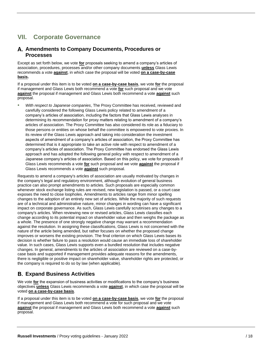## <span id="page-17-0"></span>**VII. Corporate Governance**

#### **Amendments to Company Documents, Procedures or Processes**

Except as set forth below, we vote **for** proposals seeking to amend a company's articles of association, procedures, processes and/or other company documents **unless** Glass Lewis recommends a vote **against**, in which case the proposal will be voted **on a case-by-case basis.**

If a proposal under this item is to be voted **on a case-by-case basis**, we vote **for** the proposal if management and Glass Lewis both recommend a vote **for** such proposal and we vote **against** the proposal if management and Glass Lewis both recommend a vote **against** such proposal.

• *With respect to Japanese companies*, The Proxy Committee has received, reviewed and carefully considered the following Glass Lewis policy related to amendment of a company's articles of association, including the factors that Glass Lewis analyses in determining its recommendation for proxy matters relating to amendment of a company's articles of association. The Proxy Committee has also considered its role as a fiduciary to those persons or entities on whose behalf the committee is empowered to vote proxies. In its review of the Glass Lewis approach and taking into consideration the investment aspects of amendment of a company's articles of association, the Proxy Committee has determined that is it appropriate to take an active role with respect to amendment of a company's articles of association. The Proxy Committee has endorsed the Glass Lewis approach and has adopted the following general policy with respect to amendment of a Japanese company's articles of association. Based on this policy, we vote for proposals if Glass Lewis recommends a vote **for** such proposal and we vote **against** the proposal if Glass Lewis recommends a vote **against** such proposal.

Requests to amend a company's articles of association are usually motivated by changes in the company's legal and regulatory environment, although evolution of general business practice can also prompt amendments to articles. Such proposals are especially common whenever stock exchange listing rules are revised, new legislation is passed, or a court case exposes the need to close loopholes. Amendments to articles range from minor spelling changes to the adoption of an entirely new set of articles. While the majority of such requests are of a technical and administrative nature, minor changes in wording can have a significant impact on corporate governance. As such, Glass Lewis carefully scrutinises any changes to a company's articles. When reviewing new or revised articles, Glass Lewis classifies each change according to its potential impact on shareholder value and then weighs the package as a whole. The presence of one strongly negative change may warrant a recommendation against the resolution. In assigning these classifications, Glass Lewis is not concerned with the nature of the article being amended, but rather focuses on whether the proposed change improves or worsens the existing provision. The final criterion on which Glass Lewis bases its decision is whether failure to pass a resolution would cause an immediate loss of shareholder value. In such cases, Glass Lewis supports even a bundled resolution that includes negative changes. In general, amendments to the articles of association are reviewed on a case-bycase basis and supported if management provides adequate reasons for the amendments, there is negligible or positive impact on shareholder value, shareholder rights are protected, or the company is required to do so by law (when applicable).

## **Expand Business Activities**

We vote **for** the expansion of business activities or modifications to the company's business objectives **unless** Glass Lewis recommends a vote **against**, in which case the proposal will be voted **on a case-by-case basis**.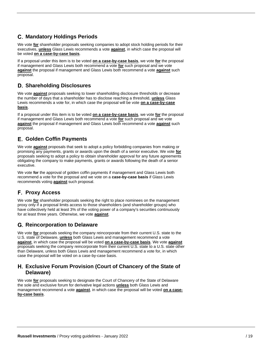## **Mandatory Holdings Periods**

We vote **for** shareholder proposals seeking companies to adopt stock holding periods for their executives, **unless** Glass Lewis recommends a vote **against**, in which case the proposal will be voted **on a case-by-case basis**.

If a proposal under this item is to be voted **on a case-by-case basis**, we vote **for** the proposal if management and Glass Lewis both recommend a vote **for** such proposal and we vote **against** the proposal if management and Glass Lewis both recommend a vote **against** such proposal.

## **Shareholding Disclosures**

We vote **against** proposals seeking to lower shareholding disclosure thresholds or decrease the number of days that a shareholder has to disclose reaching a threshold, **unless** Glass Lewis recommends a vote for, in which case the proposal will be vote **on a case-by-case basis**.

If a proposal under this item is to be voted **on a case-by-case basis**, we vote **for** the proposal if management and Glass Lewis both recommend a vote **for** such proposal and we vote **against** the proposal if management and Glass Lewis both recommend a vote **against** such proposal.

## **Golden Coffin Payments**

We vote **against** proposals that seek to adopt a policy forbidding companies from making or promising any payments, grants or awards upon the death of a senior executive. We vote **for** proposals seeking to adopt a policy to obtain shareholder approval for any future agreements obligating the company to make payments, grants or awards following the death of a senior executive.

We vote **for** the approval of golden coffin payments if management and Glass Lewis both recommend a vote for the proposal and we vote on a **case-by-case basis** if Glass Lewis recommends voting **against** such proposal.

## **Proxy Access**

We vote **for** shareholder proposals seeking the right to place nominees on the management proxy only if a proposal limits access to those shareholders (and shareholder groups) who have collectively held at least 3% of the voting power of a company's securities continuously for at least three years. Otherwise, we vote **against**.

## **Reincorporation to Delaware**

We vote **for** proposals seeking the company reincorporate from their current U.S. state to the U.S. state of Delaware, **unless** both Glass Lewis and management recommend a vote **against**, in which case the proposal will be voted **on a case-by-case basis**. We vote **against** proposals seeking the company reincorporate from their current U.S. state to a U.S. state other than Delaware, unless both Glass Lewis and management recommend a vote for, in which case the proposal will be voted on a case-by-case basis.

## **Exclusive Forum Provision (Court of Chancery of the State of Delaware)**

We vote **for** proposals seeking to designate the Court of Chancery of the State of Delaware the sole and exclusive forum for derivative legal actions **unless** both Glass Lewis and management recommend a vote **against**, in which case the proposal will be voted **on a caseby-case basis**.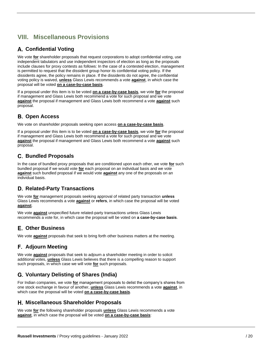## <span id="page-19-0"></span>**VIII. Miscellaneous Provisions**

## **Confidential Voting**

We vote **for** shareholder proposals that request corporations to adopt confidential voting, use independent tabulators and use independent inspectors of election as long as the proposals include clauses for proxy contests as follows: In the case of a contested election, management is permitted to request that the dissident group honor its confidential voting policy. If the dissidents agree, the policy remains in place. If the dissidents do not agree, the confidential voting policy is waived, **unless** Glass Lewis recommends a vote **against**, in which case the proposal will be voted **on a case-by-case basis**.

If a proposal under this item is to be voted **on a case-by-case basis**, we vote **for** the proposal if management and Glass Lewis both recommend a vote for such proposal and we vote **against** the proposal if management and Glass Lewis both recommend a vote **against** such proposal.

## **Open Access**

We vote on shareholder proposals seeking open access **on a case-by-case basis**.

If a proposal under this item is to be voted **on a case-by-case basis**, we vote **for** the proposal if management and Glass Lewis both recommend a vote for such proposal and we vote **against** the proposal if management and Glass Lewis both recommend a vote **against** such proposal.

## **Bundled Proposals**

In the case of bundled proxy proposals that are conditioned upon each other, we vote **for** such bundled proposal if we would vote **for** each proposal on an individual basis and we vote **against** such bundled proposal if we would vote **against** any one of the proposals on an individual basis.

## **Related-Party Transactions**

We vote **for** management proposals seeking approval of related party transaction **unless** Glass Lewis recommends a vote **against** or **refers**, in which case the proposal will be voted **against**.

We vote **against** unspecified future related-party transactions unless Glass Lewis recommends a vote for, in which case the proposal will be voted on **a case-by-case basis**.

## **Other Business**

We vote **against** proposals that seek to bring forth other business matters at the meeting.

## **Adjourn Meeting**

We vote **against** proposals that seek to adjourn a shareholder meeting in order to solicit additional votes, **unless** Glass Lewis believes that there is a compelling reason to support such proposals, in which case we will vote **for** such proposals.

## **Voluntary Delisting of Shares (India)**

For Indian companies, we vote **for** management proposals to delist the company's shares from one stock exchange in favour of another, **unless** Glass Lewis recommends a vote **against**, in which case the proposal will be voted **on a case-by-case basis**.

## **Miscellaneous Shareholder Proposals**

We vote **for** the following shareholder proposals **unless** Glass Lewis recommends a vote **against**, in which case the proposal will be voted **on a case-by-case basis**: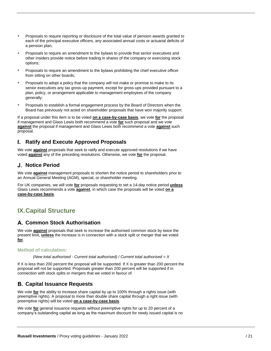- Proposals to require reporting or disclosure of the total value of pension awards granted to each of the principal executive officers, any associated annual costs or actuarial deficits of a pension plan;
- Proposals to require an amendment to the bylaws to provide that senior executives and other insiders provide notice before trading in shares of the company or exercising stock options;
- Proposals to require an amendment to the bylaws prohibiting the chief executive officer from sitting on other boards;
- Proposals to adopt a policy that the company will not make or promise to make to its senior executives any tax gross-up payment, except for gross-ups provided pursuant to a plan, policy, or arrangement applicable to management employees of the company generally;
- Proposals to establish a formal engagement process by the Board of Directors when the Board has previously not acted on shareholder proposals that have won majority support.

If a proposal under this item is to be voted **on a case-by-case basis**, we vote **for** the proposal if management and Glass Lewis both recommend a vote **for** such proposal and we vote **against** the proposal if management and Glass Lewis both recommend a vote **against** such proposal.

#### **Ratify and Execute Approved Proposals** L.

We vote **against** proposals that seek to ratify and execute approved resolutions if we have voted **against** any of the preceding resolutions. Otherwise, we vote **for** the proposal.

## **Notice Period**

We vote **against** management proposals to shorten the notice period to shareholders prior to an Annual General Meeting (AGM), special, or shareholder meeting.

For UK companies, we will vote **for** proposals requesting to set a 14-day notice period **unless** Glass Lewis recommends a vote **against**, in which case the proposals will be voted **on a case-by-case basis**.

## <span id="page-20-0"></span>**IX.Capital Structure**

## **Common Stock Authorisation**

We vote **against** proposals that seek to increase the authorised common stock by twice the present limit, **unless** the increase is in connection with a stock split or merger that we voted **for**.

#### **Method of calculation:**

*(New total authorised - Current total authorised) / Current total authorised = X*

If  $X$  is less than 200 percent the proposal will be supported. If  $X$  is greater than 200 percent the proposal will not be supported. Proposals greater than 200 percent will be supported if in connection with stock splits or mergers that we voted in favour of.

## **Capital Issuance Requests**

We vote **for** the ability to increase share capital by up to 100% through a rights issue (with preemptive rights). A proposal to more than double share capital through a right issue (with preemptive rights) will be voted **on a case-by-case basis**.

We vote **for** general issuance requests without preemptive rights for up to 20 percent of a company's outstanding capital as long as the maximum discount for newly issued capital is no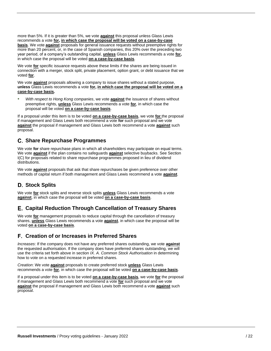more than 5%. If it is greater than 5%, we vote **against** this proposal unless Glass Lewis recommends a vote **for, in which case the proposal will be voted on a case-by-case basis**. We vote **against** proposals for general issuance requests without preemptive rights for more than 20 percent, or, in the case of Spanish companies, this 20% over the preceding two year period, of a company's outstanding capital, **unless** Glass Lewis recommends a vote **for,**  in which case the proposal will be voted **on a case-by-case basis**.

We vote **for** specific issuance requests above these limits if the shares are being issued in connection with a merger, stock split, private placement, option grant, or debt issuance that we voted **for**.

We vote **against** proposals allowing a company to issue shares without a stated purpose, **unless** Glass Lewis recommends a vote **for, in which case the proposal will be voted on a case-by-case basis.**

• *With respect to Hong Kong companies*, we vote **against** the issuance of shares without preemptive rights, **unless** Glass Lewis recommends a vote **for**, in which case the proposal will be voted **on a case-by-case basis**.

If a proposal under this item is to be voted **on a case-by-case basis**, we vote **for** the proposal if management and Glass Lewis both recommend a vote **for** such proposal and we vote **against** the proposal if management and Glass Lewis both recommend a vote **against** such proposal.

## **Share Repurchase Programmes**

We vote **for** share repurchase plans in which all shareholders may participate on equal terms. We vote **against** if the plan contains no safeguards **against** selective buybacks. See Section I(C) for proposals related to share repurchase programmes proposed in lieu of dividend distributions.

We vote **against** proposals that ask that share repurchases be given preference over other methods of capital return if both management and Glass Lewis recommend a vote **against**.

## **Stock Splits**

We vote **for** stock splits and reverse stock splits **unless** Glass Lewis recommends a vote **against**, in which case the proposal will be voted **on a case-by-case basis**.

## **Capital Reduction Through Cancellation of Treasury Shares**

We vote **for** management proposals to reduce capital through the cancellation of treasury shares, **unless** Glass Lewis recommends a vote **against**, in which case the proposal will be voted **on a case-by-case basis**.

## **Creation of or Increases in Preferred Shares**

*Increases*: If the company does not have any preferred shares outstanding, we vote **against** the requested authorisation. If the company does have preferred shares outstanding, we will use the criteria set forth above in section *IX. A. Common Stock Authorisation* in determining how to vote on a requested increase in preferred shares.

*Creation*: We vote **against** proposals to create preferred stock **unless** Glass Lewis recommends a vote **for**, in which case the proposal will be voted **on a case-by-case basis**.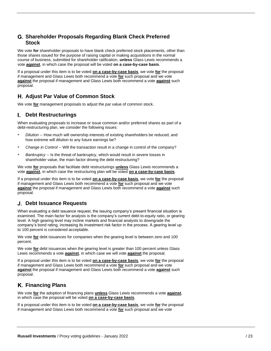## **Shareholder Proposals Regarding Blank Check Preferred Stock**

We vote **for** shareholder proposals to have blank check preferred stock placements, other than those shares issued for the purpose of raising capital or making acquisitions in the normal course of business, submitted for shareholder ratification, **unless** Glass Lewis recommends a vote **against**, in which case the proposal will be voted **on a case-by-case basis**.

If a proposal under this item is to be voted **on a case-by-case basis**, we vote **for** the proposal if management and Glass Lewis both recommend a vote **for** such proposal and we vote **against** the proposal if management and Glass Lewis both recommend a vote **against** such proposal.

## **Adjust Par Value of Common Stock**

We vote **for** management proposals to adjust the par value of common stock.

#### **Debt Restructurings** L.

When evaluating proposals to increase or issue common and/or preferred shares as part of a debt-restructuring plan, we consider the following issues:

- *Dilution* -- How much will ownership interests of existing shareholders be reduced, and how extreme will dilution to any future earnings be?
- *Change in Control* -- Will the transaction result in a change in control of the company?
- *Bankruptcy* -- Is the threat of bankruptcy, which would result in severe losses in shareholder value, the main factor driving the debt restructuring?

We vote **for** proposals that facilitate debt restructurings **unless** Glass Lewis recommends a vote **against**, in which case the restructuring plan will be voted **on a case-by-case basis**.

If a proposal under this item is to be voted **on a case-by-case basis**, we vote **for** the proposal if management and Glass Lewis both recommend a vote **for** such proposal and we vote **against** the proposal if management and Glass Lewis both recommend a vote **against** such proposal.

## **Debt Issuance Requests**

When evaluating a debt issuance request, the issuing company's present financial situation is examined. The main factor for analysis is the company's current debt-to-equity ratio, or gearing level. A high gearing level may incline markets and financial analysts to downgrade the company's bond rating, increasing its investment risk factor in the process. A gearing level up to 100 percent is considered acceptable.

We vote **for** debt issuances for companies when the gearing level is between zero and 100 percent.

We vote **for** debt issuances when the gearing level is greater than 100 percent unless Glass Lewis recommends a vote **against**, in which case we will vote **against** the proposal.

If a proposal under this item is to be voted **on a case-by-case basis**, we vote **for** the proposal if management and Glass Lewis both recommend a vote **for** such proposal and we vote **against** the proposal if management and Glass Lewis both recommend a vote **against** such proposal.

## **Financing Plans**

We vote **for** the adoption of financing plans **unless** Glass Lewis recommends a vote **against**, in which case the proposal will be voted **on a case-by-case basis**.

If a proposal under this item is to be voted **on a case-by-case basis**, we vote **for** the proposal if management and Glass Lewis both recommend a vote **for** such proposal and we vote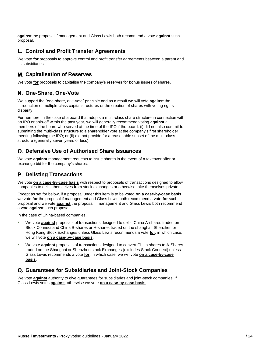**against** the proposal if management and Glass Lewis both recommend a vote **against** such proposal.

## **Control and Profit Transfer Agreements**

We vote **for** proposals to approve control and profit transfer agreements between a parent and its subsidiaries.

## **Capitalisation of Reserves**

We vote **for** proposals to capitalise the company's reserves for bonus issues of shares.

## **One-Share, One-Vote**

We support the "one-share, one-vote" principle and as a result we will vote **against** the introduction of multiple-class capital structures or the creation of shares with voting rights disparity.

Furthermore, in the case of a board that adopts a multi-class share structure in connection with an IPO or spin-off within the past year, we will generally recommend voting **against** all members of the board who served at the time of the IPO if the board: (i) did not also commit to submitting the multi-class structure to a shareholder vote at the company's first shareholder meeting following the IPO; or (ii) did not provide for a reasonable sunset of the multi-class structure (generally seven years or less).

## **Defensive Use of Authorised Share Issuances**

We vote **against** management requests to issue shares in the event of a takeover offer or exchange bid for the company's shares.

## **Delisting Transactions**

We vote **on a case-by-case basis** with respect to proposals of transactions designed to allow companies to delist themselves from stock exchanges or otherwise take themselves private.

Except as set for below, if a proposal under this item is to be voted **on a case-by-case basis**, we vote **for** the proposal if management and Glass Lewis both recommend a vote **for** such proposal and we vote **against** the proposal if management and Glass Lewis both recommend a vote **against** such proposal.

In the case of China-based companies,

- We vote **against** proposals of transactions designed to delist China A-shares traded on Stock Connect and China B-shares or H-shares traded on the shanghai, Shenzhen or Hong Kong Stock Exchanges unless Glass Lewis recommends a vote **for**, in which case, we will vote **on a case-by-case basis**.
- We vote **against** proposals of transactions designed to convert China shares to A-Shares traded on the Shanghai or Shenzhen stock Exchanges (excludes Stock Connect) unless Glass Lewis recommends a vote **for**, in which case, we will vote **on a case-by-case basis**.

## **Guarantees for Subsidiaries and Joint-Stock Companies**

We vote **against** authority to give guarantees for subsidiaries and joint-stock companies, if Glass Lewis votes **against**, otherwise we vote **on a case-by-case basis**.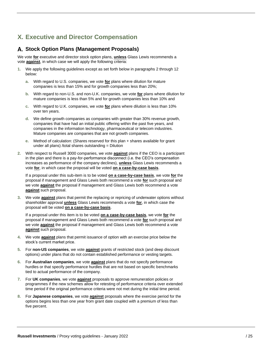## <span id="page-24-0"></span>**X. Executive and Director Compensation**

#### **Stock Option Plans (Management Proposals)**

We vote **for** executive and director stock option plans, **unless** Glass Lewis recommends a vote **against**, in which case we will apply the following criteria:

- **1.** We apply the following guidelines except as set forth below in paragraphs 2 through 12 below:
	- **a.** With regard to U.S. companies, we vote **for** plans where dilution for mature companies is less than 15% and for growth companies less than 20%;
	- **b.** With regard to non-U.S. and non-U.K. companies, we vote **for** plans where dilution for mature companies is less than 5% and for growth companies less than 10% and
	- **c.** With regard to U.K. companies, we vote **for** plans where dilution is less than 10% over ten years.
	- **d.** We define growth companies as companies with greater than 30% revenue growth, companies that have had an initial public offering within the past five years, and companies in the information technology, pharmaceutical or telecom industries. Mature companies are companies that are not growth companies.
	- **e.** Method of calculation: (Shares reserved for this plan + shares available for grant under all plans) /total shares outstanding = Dilution
- **2.** With respect to Russell 3000 companies, we vote **against** plans if the CEO is a participant in the plan and there is a pay-for-performance disconnect (i.e. the CEO's compensation increases as performance of the company declines), **unless** Glass Lewis recommends a vote **for**, in which case the proposal will be voted **on a case-by-case basis**.

If a proposal under this sub-item is to be voted **on a case-by-case basis**, we vote **for** the proposal if management and Glass Lewis both recommend a vote **for** such proposal and we vote **against** the proposal if management and Glass Lewis both recommend a vote **against** such proposal.

**3.** We vote **against** plans that permit the replacing or repricing of underwater options without shareholder approval **unless** Glass Lewis recommends a vote **for**, in which case the proposal will be voted **on a case-by-case basis**.

- **4.** We vote **against** plans that permit issuance of option with an exercise price below the stock's current market price.
- **5.** For **non-US companies**, we vote **against** grants of restricted stock (and deep discount options) under plans that do not contain established performance or vesting targets.
- **6.** For **Australian companies**, we vote **against** plans that do not specify performance hurdles or that specify performance hurdles that are not based on specific benchmarks tied to actual performance of the company.
- **7.** For **UK companies**, we vote **against** proposals to approve remuneration policies or programmes if the new schemes allow for retesting of performance criteria over extended time period if the original performance criteria were not met during the initial time period.
- **8.** For **Japanese companies**, we vote **against** proposals where the exercise period for the options begins less than one year from grant date coupled with a premium of less than five percent.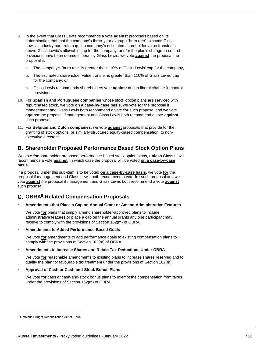- **9.** In the event that Glass Lewis recommends a vote **against** proposals based on its determination that that the company's three-year average "burn rate" exceeds Glass Lewis's industry burn rate cap, the company's estimated shareholder value transfer is above Glass Lewis's allowable cap for the company, and/or the plan's change-in-control provisions have been deemed liberal by Glass Lewis, we vote **against** the proposal the proposal if:
	- **a.** The company's "burn rate" is greater than 110% of Glass Lewis' cap for the company,
	- **b.** The estimated shareholder value transfer is greater than 110% of Glass Lewis' cap for the company, or
	- **c.** Glass Lewis recommends shareholders vote **against** due to liberal change-in-control provisions.
- **10.** For **Spanish and Portuguese companies** whose stock option plans are serviced with repurchased stock, we vote **on a case-by-case basis**, we vote **for** the proposal if management and Glass Lewis both recommend a vote **for** such proposal and we vote **against** the proposal if management and Glass Lewis both recommend a vote **against** such proposal.
- **11.** For **Belgium and Dutch companies**, we vote **against** proposals that provide for the granting of stock options, or similarly structured equity-based compensation, to nonexecutive directors.

## **Shareholder Proposed Performance Based Stock Option Plans**

We vote **for** shareholder proposed performance-based stock option plans, **unless** Glass Lewis recommends a vote **against**, in which case the proposal will be voted **on a case-by-case basis**.

If a proposal under this sub-item is to be voted **on a case-by-case basis**, we vote **for** the proposal if management and Glass Lewis both recommend a vote **for** such proposal and we vote **against** the proposal if management and Glass Lewis both recommend a vote **against** such proposal.

## **OBRA<sup>5</sup> -Related Compensation Proposals**

#### • **Amendments that Place a Cap on Annual Grant or Amend Administrative Features**

We vote **for** plans that simply amend shareholder-approved plans to include administrative features or place a cap on the annual grants any one participant may receive to comply with the provisions of Section 162(m) of OBRA.

• **Amendments to Added Performance-Based Goals**

We vote **for** amendments to add performance goals to existing compensation plans to comply with the provisions of Section 162(m) of OBRA.

#### • **Amendments to Increase Shares and Retain Tax Deductions Under OBRA**

We vote **for** reasonable amendments to existing plans to increase shares reserved and to qualify the plan for favourable tax treatment under the provisions of Section 162(m).

#### • **Approval of Cash or Cash-and-Stock Bonus Plans**

We vote **for** cash or cash-and-stock bonus plans to exempt the compensation from taxes under the provisions of Section 162(m) of OBRA

<sup>5</sup> Omnibus Budget Reconciliation Act of 1990.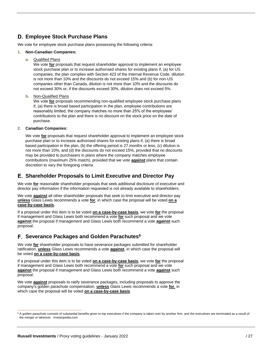## **Employee Stock Purchase Plans**

We vote for employee stock purchase plans possessing the following criteria:

#### **1. Non-Canadian Companies:**

**a.** Qualified Plans

We vote **for** proposals that request shareholder approval to implement an employee stock purchase plan or to increase authorised shares for existing plans if, (a) for US companies, the plan complies with Section 423 of the Internal Revenue Code, dilution is not more than 10% and the discounts do not exceed 15% and (b) for non-US companies other than Canada, dilution is not more than 10% and the discounts do not exceed 30% or, if the discounts exceed 30%, dilution does not exceed 5%.

**b.** Non-Qualified Plans

We vote **for** proposals recommending non-qualified employee stock purchase plans if, (a) there is broad based participation in the plan, employee contributions are reasonably limited, the company matches no more than 25% of the employees' contributions to the plan and there is no discount on the stock price on the date of purchase.

#### **2. Canadian Companies:**

We vote **for** proposals that request shareholder approval to implement an employee stock purchase plan or to increase authorised shares for existing plans if, (a) there is broad based participation in the plan, (b) the offering period is 27 months or less, (c) dilution is not more than 10%, and (d) the discounts do not exceed 15%, provided that no discounts may be provided to purchasers in plans where the company matches employee contributions (maximum 25% match), provided that we vote **against** plans that contain discretion to vary the foregoing criteria

#### **Shareholder Proposals to Limit Executive and Director Pay**

We vote **for** reasonable shareholder proposals that seek additional disclosure of executive and director pay information if the information requested is not already available to shareholders.

We vote **against** all other shareholder proposals that seek to limit executive and director pay **unless** Glass Lewis recommends a vote **for**, in which case the proposal will be voted **on a case-by-case basis**.

If a proposal under this item is to be voted **on a case-by-case basis**, we vote **for** the proposal if management and Glass Lewis both recommend a vote **for** such proposal and we vote **against** the proposal if management and Glass Lewis both recommend a vote **against** such proposal.

## **Severance Packages and Golden Parachutes<sup>6</sup>**

We vote **for** shareholder proposals to have severance packages submitted for shareholder ratification, **unless** Glass Lewis recommends a vote **against**, in which case the proposal will be voted **on a case-by-case basis**.

If a proposal under this item is to be voted **on a case-by-case basis**, we vote **for** the proposal if management and Glass Lewis both recommend a vote **for** such proposal and we vote **against** the proposal if management and Glass Lewis both recommend a vote **against** such proposal.

We vote **against** proposals to ratify severance packages, including proposals to approve the company's golden parachute compensation, **unless** Glass Lewis recommends a vote **for**, in which case the proposal will be voted **on a case-by-case basis**.

 $6$  A golden parachute consists of substantial benefits given to top executives if the company is taken over by another firm, and the executives are terminated as a result of the merger or takeover. Investopedia.com.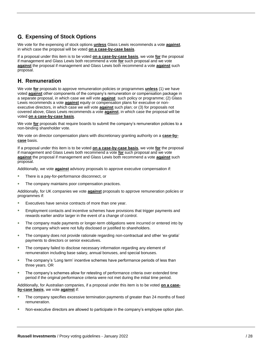## **Expensing of Stock Options**

We vote for the expensing of stock options **unless** Glass Lewis recommends a vote **against**, in which case the proposal will be voted **on a case-by-case basis**.

If a proposal under this item is to be voted **on a case-by-case basis**, we vote **for** the proposal if management and Glass Lewis both recommend a vote **for** such proposal and we vote **against** the proposal if management and Glass Lewis both recommend a vote **against** such proposal.

#### **H.** Remuneration

We vote **for** proposals to approve remuneration policies or programmes **unless** (1) we have voted **against** other components of the company's remuneration or compensation package in a separate proposal, in which case we will vote **against** such policy or programme; (2) Glass Lewis recommends a vote **against** equity or compensation plans for executive or nonexecutive directors, in which case we will vote **against** such plan; or (3) for proposals not covered above, Glass Lewis recommends a vote **against**, in which case the proposal will be voted **on a case-by-case basis**.

We vote **for** proposals that require boards to submit the company's remuneration policies to a non-binding shareholder vote.

We vote on director compensation plans with discretionary granting authority on a **case-bycase** basis.

If a proposal under this item is to be voted **on a case-by-case basis**, we vote **for** the proposal if management and Glass Lewis both recommend a vote **for** such proposal and we vote **against** the proposal if management and Glass Lewis both recommend a vote **against** such proposal.

Additionally, we vote **against** advisory proposals to approve executive compensation if:

- There is a pay-for-performance disconnect, or
- The company maintains poor compensation practices.

Additionally, for UK companies we vote **against** proposals to approve remuneration policies or programmes if:

- Executives have service contracts of more than one year.
- Employment contacts and incentive schemes have provisions that trigger payments and rewards earlier and/or larger in the event of a change of control.
- The company made payments or longer-term obligations were incurred or entered into by the company which were not fully disclosed or justified to shareholders.
- The company does not provide rationale regarding non-contractual and other 'ex-gratia' payments to directors or senior executives.
- The company failed to disclose necessary information regarding any element of remuneration including base salary, annual bonuses, and special bonuses.
- The company's 'Long term' incentive schemes have performance periods of less than three years. OR
- The company's schemes allow for retesting of performance criteria over extended time period if the original performance criteria were not met during the initial time period.

Additionally, for Australian companies, if a proposal under this item is to be voted **on a caseby-case basis**, we vote **against** if:

- The company specifies excessive termination payments of greater than 24 months of fixed remuneration.
- Non-executive directors are allowed to participate in the company's employee option plan.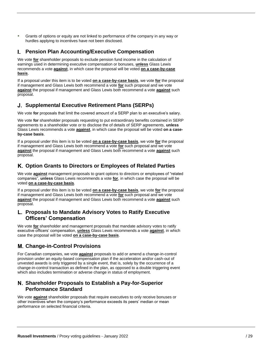• Grants of options or equity are not linked to performance of the company in any way or hurdles applying to incentives have not been disclosed.

#### L. **Pension Plan Accounting/Executive Compensation**

We vote **for** shareholder proposals to exclude pension fund income in the calculation of earnings used in determining executive compensation or bonuses, **unless** Glass Lewis recommends a vote **against**, in which case the proposal will be voted **on a case-by-case basis**.

If a proposal under this item is to be voted **on a case-by-case basis**, we vote **for** the proposal if management and Glass Lewis both recommend a vote **for** such proposal and we vote **against** the proposal if management and Glass Lewis both recommend a vote **against** such proposal.

## **Supplemental Executive Retirement Plans (SERPs)**

We vote **for** proposals that limit the covered amount of a SERP plan to an executive's salary.

We vote **for** shareholder proposals requesting to put extraordinary benefits contained in SERP agreements to a shareholder vote or to disclose the of details of SERP agreements, **unless** Glass Lewis recommends a vote **against**, in which case the proposal will be voted **on a caseby-case basis**.

If a proposal under this item is to be voted **on a case-by-case basis**, we vote **for** the proposal if management and Glass Lewis both recommend a vote **for** such proposal and we vote **against** the proposal if management and Glass Lewis both recommend a vote **against** such proposal.

## **Option Grants to Directors or Employees of Related Parties**

We vote **against** management proposals to grant options to directors or employees of "related companies", **unless** Glass Lewis recommends a vote **for**, in which case the proposal will be voted **on a case-by-case basis**.

If a proposal under this item is to be voted **on a case-by-case basis**, we vote **for** the proposal if management and Glass Lewis both recommend a vote **for** such proposal and we vote **against** the proposal if management and Glass Lewis both recommend a vote **against** such proposal.

#### **Proposals to Mandate Advisory Votes to Ratify Executive Officers' Compensation**

We vote **for** shareholder and management proposals that mandate advisory votes to ratify executive officers' compensation, **unless** Glass Lewis recommends a vote **against**, in which case the proposal will be voted **on a case-by-case basis**.

## **Change-in-Control Provisions**

For Canadian companies, we vote **against** proposals to add or amend a change-in-control provision under an equity-based compensation plan if the acceleration and/or cash-out of unvested awards is only triggered by a single event, that is, solely by the occurrence of a change-in-control transaction as defined in the plan, as opposed to a double triggering event which also includes termination or adverse change in status of employment.

## **Shareholder Proposals to Establish a Pay-for-Superior Performance Standard**

We vote **against** shareholder proposals that require executives to only receive bonuses or other incentives when the company's performance exceeds its peers' median or mean performance on selected financial criteria.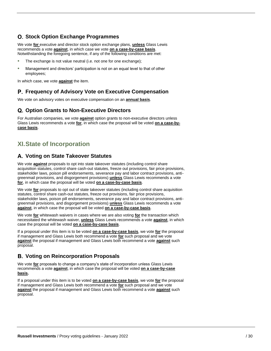## **O. Stock Option Exchange Programmes**

We vote **for** executive and director stock option exchange plans, **unless** Glass Lewis recommends a vote **against**, in which case we vote **on a case-by-case basis**. Notwithstanding the foregoing sentence, if any of the following conditions are met:

- The exchange is not value neutral (i.e. not one for one exchange);
- Management and directors' participation is not on an equal level to that of other employees;

In which case, we vote **against** the item.

## **Frequency of Advisory Vote on Executive Compensation**

We vote on advisory votes on executive compensation on an **annual basis**.

#### **Q. Option Grants to Non-Executive Directors**

For Australian companies, we vote **against** option grants to non-executive directors unless Glass Lewis recommends a vote **for**, in which case the proposal will be voted **on a case-bycase basis**.

## <span id="page-29-0"></span>**XI.State of Incorporation**

#### **Voting on State Takeover Statutes**

We vote **against** proposals to opt into state takeover statutes (including control share acquisition statutes, control share cash-out statutes, freeze out provisions, fair price provisions, stakeholder laws, poison pill endorsements, severance pay and labor contract provisions, antigreenmail provisions, and disgorgement provisions) **unless** Glass Lewis recommends a vote **for**, in which case the proposal will be voted **on a case-by-case basis**.

We vote **for** proposals to opt out of state takeover statutes (including control share acquisition statutes, control share cash-out statutes, freeze out provisions, fair price provisions, stakeholder laws, poison pill endorsements, severance pay and labor contract provisions, antigreenmail provisions, and disgorgement provisions) **unless** Glass Lewis recommends a vote **against**, in which case the proposal will be voted **on a case-by-case basis**.

We vote **for** whitewash waivers in cases where we are also voting **for** the transaction which necessitated the whitewash waiver, **unless** Glass Lewis recommends a vote **against**, in which case the proposal will be voted **on a case-by-case basis**.

If a proposal under this item is to be voted **on a case-by-case basis**, we vote **for** the proposal if management and Glass Lewis both recommend a vote **for** such proposal and we vote **against** the proposal if management and Glass Lewis both recommend a vote **against** such proposal.

#### **Voting on Reincorporation Proposals**

We vote **for** proposals to change a company's state of incorporation unless Glass Lewis recommends a vote **against**, in which case the proposal will be voted **on a case-by-case basis.**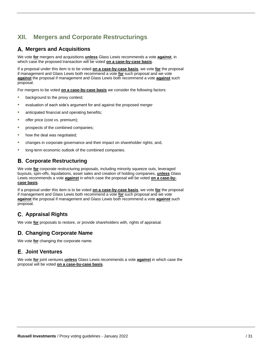## <span id="page-30-0"></span>**XII. Mergers and Corporate Restructurings**

## **Mergers and Acquisitions**

We vote **for** mergers and acquisitions **unless** Glass Lewis recommends a vote **against**, in which case the proposed transaction will be voted **on a case-by-case basis**.

If a proposal under this item is to be voted **on a case-by-case basis**, we vote **for** the proposal if management and Glass Lewis both recommend a vote **for** such proposal and we vote **against** the proposal if management and Glass Lewis both recommend a vote **against** such proposal.

For mergers to be voted **on a case-by-case basis** we consider the following factors:

- background to the proxy contest;
- evaluation of each side's argument for and against the proposed merger
- anticipated financial and operating benefits;
- offer price (cost vs. premium);
- prospects of the combined companies;
- how the deal was negotiated;
- changes in corporate governance and their impact on shareholder rights; and,
- long-term economic outlook of the combined companies.

## **Corporate Restructuring**

We vote **for** corporate restructuring proposals, including minority squeeze outs, leveraged buyouts, spin-offs, liquidations, asset sales and creation of holding companies, **unless** Glass Lewis recommends a vote **against** in which case the proposal will be voted **on a case-bycase basis**.

If a proposal under this item is to be voted **on a case-by-case basis**, we vote **for** the proposal if management and Glass Lewis both recommend a vote **for** such proposal and we vote **against** the proposal if management and Glass Lewis both recommend a vote **against** such proposal.

## **Appraisal Rights**

We vote **for** proposals to restore, or provide shareholders with, rights of appraisal.

## **Changing Corporate Name**

We vote **for** changing the corporate name.

## **Joint Ventures**

We vote **for** joint ventures **unless** Glass Lewis recommends a vote **against** in which case the proposal will be voted **on a case-by-case basis**.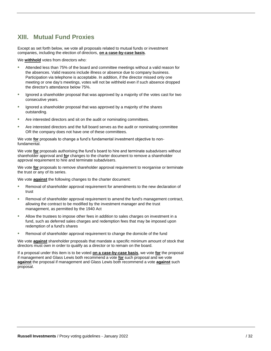## <span id="page-31-0"></span>**XIII. Mutual Fund Proxies**

Except as set forth below, we vote all proposals related to mutual funds or investment companies, including the election of directors, **on a case-by-case basis**.

We **withhold** votes from directors who:

- Attended less than 75% of the board and committee meetings without a valid reason for the absences. Valid reasons include illness or absence due to company business. Participation via telephone is acceptable. In addition, if the director missed only one meeting or one day's meetings, votes will not be withheld even if such absence dropped the director's attendance below 75%.
- Ignored a shareholder proposal that was approved by a majority of the votes cast for two consecutive years.
- Ignored a shareholder proposal that was approved by a majority of the shares outstanding.
- Are interested directors and sit on the audit or nominating committees.
- Are interested directors and the full board serves as the audit or nominating committee OR the company does not have one of these committees.

We vote **for** proposals to change a fund's fundamental investment objective to nonfundamental.

We vote **for** proposals authorising the fund's board to hire and terminate subadvisers without shareholder approval and **for** changes to the charter document to remove a shareholder approval requirement to hire and terminate subadvisers.

We vote **for** proposals to remove shareholder approval requirement to reorganise or terminate the trust or any of its series.

We vote **against** the following changes to the charter document:

- Removal of shareholder approval requirement for amendments to the new declaration of trust
- Removal of shareholder approval requirement to amend the fund's management contract, allowing the contract to be modified by the investment manager and the trust management, as permitted by the 1940 Act
- Allow the trustees to impose other fees in addition to sales charges on investment in a fund, such as deferred sales charges and redemption fees that may be imposed upon redemption of a fund's shares
- Removal of shareholder approval requirement to change the domicile of the fund

We vote **against** shareholder proposals that mandate a specific minimum amount of stock that directors must own in order to qualify as a director or to remain on the board.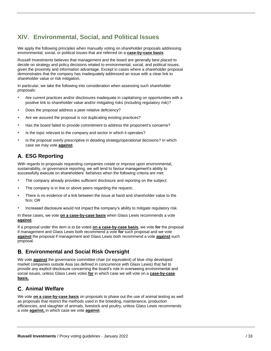## <span id="page-32-0"></span>**XIV. Environmental, Social, and Political Issues**

We apply the following principles when manually voting on shareholder proposals addressing environmental, social, or political issues that are referred on a **case-by-case basis**.

Russell Investments believes that management and the board are generally best placed to decide on strategy and policy decisions related to environmental, social, and political issues, given the proximity and information advantage. Except in cases where a shareholder proposal demonstrates that the company has inadequately addressed an issue with a clear link to shareholder value or risk mitigation.

In particular, we take the following into consideration when assessing such shareholder proposals:

- Are current practices and/or disclosures inadequate in capitalising on opportunities with a positive link to shareholder value and/or mitigating risks (including regulatory risk)?
- Does the proposal address a peer-relative deficiency?
- Are we assured the proposal is not duplicating existing practices?
- Has the board failed to provide commitment to address the proponent's concerns?
- Is the topic relevant to the company and sector in which it operates?
- Is the proposal overly prescriptive in detailing strategy/operational decisions? In which case we may vote **against**.

## **ESG Reporting**

With regards to proposals requesting companies create or improve upon environmental, sustainability, or governance reporting, we will tend to favour management's ability to successfully execute on shareholders' behalves when the following criteria are met:

- The company already provides sufficient disclosure and reporting on the subject;
- The company is in line or above peers regarding the request;
- There is no evidence of a link between the issue at hand and shareholder value to the firm; OR
- Increased disclosure would not impact the company's ability to mitigate regulatory risk.

In these cases, we vote **on a case-by-case basis** when Glass Lewis recommends a vote **against**.

If a proposal under this item is to be voted **on a case-by-case basis**, we vote **for** the proposal if management and Glass Lewis both recommend a vote **for** such proposal and we vote **against** the proposal if management and Glass Lewis both recommend a vote **against** such proposal.

## **Environmental and Social Risk Oversight**

We vote **against** the governance committee chair (or equivalent) of blue chip developed market companies outside Asia (as defined in concurrence with Glass Lewis) that fail to provide *any* explicit disclosure concerning the board's role in overseeing environmental and social issues, unless Glass Lewis votes **for** in which case we will vote on a **case-by-case basis.**

## **Animal Welfare**

We vote **on a case-by-case basis** on proposals to phase out the use of animal testing as well as proposals that restrict the methods used in the breeding, maintenance, production efficiencies, and slaughter of animals, livestock and poultry, unless Glass Lewis recommends a vote **against,** in which case we vote **against**.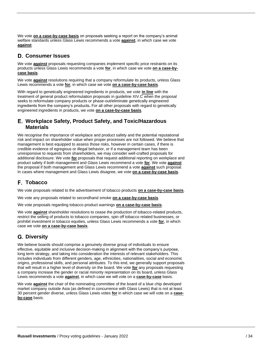We vote **on a case-by-case basis** on proposals seeking a report on the company's animal welfare standards unless Glass Lewis recommends a vote **against**, in which case we vote **against**.

## **Consumer Issues**

We vote **against** proposals requesting companies implement specific price restraints on its products unless Glass Lewis recommends a vote **for**, in which case we vote **on a case-bycase basis**.

We vote **against** resolutions requiring that a company reformulate its products, unless Glass Lewis recommends a vote **for**, in which case we vote **on a case-by-case basis**.

With regard to genetically engineered ingredients in products, we vote **in line** with the treatment of general product reformulation proposals in guideline XIV.C when the proposal seeks to reformulate company products or phase-out/eliminate genetically engineered ingredients from the company's products**.** For all other proposals with regard to genetically engineered ingredients in products, we vote **on a case-by-case basis**.

#### **Workplace Safety, Product Safety, and Toxic/Hazardous Materials**

We recognise the importance of workplace and product safety and the potential reputational risk and impact on shareholder value when proper processes are not followed. We believe that management is best equipped to assess those risks, however in certain cases, if there is credible evidence of egregious or illegal behavior, or if a management team has been unresponsive to requests from shareholders, we may consider well-crafted proposals for additional disclosure. We vote **for** proposals that request additional reporting on workplace and product safety if both management and Glass Lewis recommend a vote **for**. We vote **against** the proposal if both management and Glass Lewis recommend a vote **against** such proposal. In cases where management and Glass Lewis disagree, we vote **on a case-by-case basis**.

## **Tobacco**

We vote proposals related to the advertisement of tobacco products **on a case-by-case basis**.

We vote any proposals related to secondhand smoke **on a case-by-case basis**.

We vote proposals regarding tobacco product warnings **on a case-by-case basis**.

We vote **against** shareholder resolutions to cease the production of tobacco-related products, restrict the selling of products to tobacco companies, spin off tobacco related businesses, or prohibit investment in tobacco equities, unless Glass Lewis recommends a vote **for**, in which case we vote **on a case-by-case basis**.

## **Diversity**

We believe boards should comprise a genuinely diverse group of individuals to ensure effective, equitable and inclusive decision-making in alignment with the company's purpose, long term strategy, and taking into consideration the interests of relevant stakeholders. This includes individuals from different genders, age, ethnicities, nationalities, social and economic origins, professional skills, and personal attributes. To this end, we generally support proposals that will result in a higher level of diversity on the board. We vote **for** any proposals requesting a company increase the gender or racial minority representation on its board, unless Glass Lewis recommends a vote **against**, in which case we will vote on a **case-by-case** basis.

We vote **against** the chair of the nominating committee of the board of a blue chip developed market company outside Asia (as defined in concurrence with Glass Lewis) that is not at least 30 percent gender diverse, unless Glass Lewis votes **for** in which case we will vote on a **caseby-case** basis.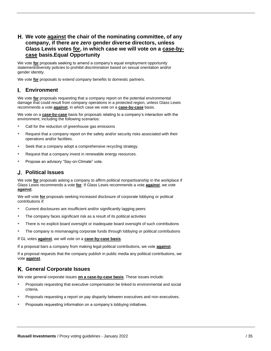## **We vote against the chair of the nominating committee, of any company, if there are** *zero* **gender diverse directors, unless Glass Lewis votes for, in which case we will vote on a case-bycase basis.Equal Opportunity**

We vote **for** proposals seeking to amend a company's equal employment opportunity statement/diversity policies to prohibit discrimination based on sexual orientation and/or gender identity.

We vote **for** proposals to extend company benefits to domestic partners.

## **Environment**

We vote **for** proposals requesting that a company report on the potential environmental damage that could result from company operations in a protected region, unless Glass Lewis recommends a vote **against**, in which case we vote on a **case-by-case** basis.

We vote on a **case-by-case** basis for proposals relating to a company's interaction with the environment, including the following scenarios:

- Call for the reduction of greenhouse gas emissions
- Request that a company report on the safety and/or security risks associated with their operations and/or facilities.
- Seek that a company adopt a comprehensive recycling strategy.
- Request that a company invest in renewable energy resources.
- Propose an advisory "Say-on-Climate" vote.

#### **Political Issues**

We vote **for** proposals asking a company to affirm political nonpartisanship in the workplace if Glass Lewis recommends a vote **for**. If Glass Lewis recommends a vote **against**, we vote **against**.

We will vote **for** proposals seeking increased disclosure of corporate lobbying or political contributions if:

- Current disclosures are insufficient and/or significantly lagging peers
- The company faces significant risk as a result of its political activities
- There is no explicit board oversight or inadequate board oversight of such contributions
- The company is mismanaging corporate funds through lobbying or political contributions

If GL votes **against**, we will vote on a **case-by-case basis**.

If a proposal bars a company from making legal political contributions, we vote **against**.

If a proposal requests that the company publish in public media any political contributions, we vote **against**.

## **General Corporate Issues**

We vote general corporate issues **on a case-by-case basis**. These issues include:

- Proposals requesting that executive compensation be linked to environmental and social criteria.
- Proposals requesting a report on pay disparity between executives and non-executives.
- Proposals requesting information on a company's lobbying initiatives.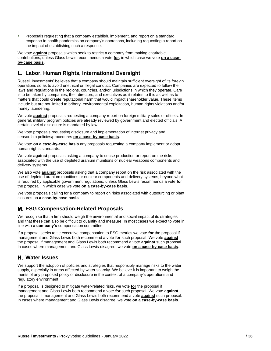• Proposals requesting that a company establish, implement, and report on a standard response to health pandemics on company's operations, including requesting a report on the impact of establishing such a response.

We vote **against** proposals which seek to restrict a company from making charitable contributions, unless Glass Lewis recommends a vote **for**, in which case we vote **on a caseby-case basis**.

## **Labor, Human Rights, International Oversight**

Russell Investments' believes that a company should maintain sufficient oversight of its foreign operations so as to avoid unethical or illegal conduct. Companies are expected to follow the laws and regulations in the regions, countries, and/or jurisdictions in which they operate. Care is to be taken by companies, their directors, and executives as it relates to this as well as to matters that could create reputational harm that would impact shareholder value. These items include but are not limited to bribery, environmental exploitation, human rights violations and/or money laundering.

We vote **against** proposals requesting a company report on foreign military sales or offsets. In general, military program policies are already reviewed by government and elected officials. A certain level of disclosure is mandated by law.

We vote proposals requesting disclosure and implementation of internet privacy and censorship policies/procedures **on a case-by-case basis**.

We vote **on a case-by-case basis** any proposals requesting a company implement or adopt human rights standards.

We vote **against** proposals asking a company to cease production or report on the risks associated with the use of depleted uranium munitions or nuclear weapons components and delivery systems.

We also vote **against** proposals asking that a company report on the risk associated with the use of depleted uranium munitions or nuclear components and delivery systems, beyond what is required by applicable government regulations, unless Glass Lewis recommends a vote **for** the proposal, in which case we vote **on a case-by-case basis**.

We vote proposals calling for a company to report on risks associated with outsourcing or plant closures on **a case-by-case basis**.

## **ESG Compensation-Related Proposals**

We recognise that a firm should weigh the environmental and social impact of its strategies and that these can also be difficult to quantify and measure. In most cases we expect to vote in line with **a company's** compensation committee.

If a proposal seeks to tie executive compensation to ESG metrics we vote **for** the proposal if management and Glass Lewis both recommend a vote **for** such proposal. We vote **against** the proposal if management and Glass Lewis both recommend a vote **against** such proposal. In cases where management and Glass Lewis disagree, we vote **on a case-by-case basis**.

## **Water Issues**

We support the adoption of policies and strategies that responsibly manage risks to the water supply, especially in areas affected by water scarcity. We believe it is important to weigh the merits of any proposed policy or disclosure in the context of a company's operations and regulatory environment.

If a proposal is designed to mitigate water-related risks, we vote **for** the proposal if management and Glass Lewis both recommend a vote **for** such proposal. We vote **against** the proposal if management and Glass Lewis both recommend a vote **against** such proposal. In cases where management and Glass Lewis disagree, we vote **on a case-by-case basis**.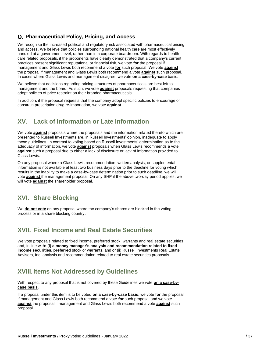## **Pharmaceutical Policy, Pricing, and Access**

We recognise the increased political and regulatory risk associated with pharmaceutical pricing and access. We believe that policies surrounding national health care are most effectively handled at a government level, rather than in a corporate boardroom. With regards to health care related proposals, if the proponents have clearly demonstrated that a company's current practices present significant reputational or financial risk, we vote **for** the proposal if management and Glass Lewis both recommend a vote **for** such proposal. We vote **against** the proposal if management and Glass Lewis both recommend a vote **against** such proposal. In cases where Glass Lewis and management disagree, we vote **on a case-by-case** basis.

We believe that decisions regarding pricing structures of pharmaceuticals are best left to management and the board. As such, we vote **against** proposals requesting that companies adopt policies of price restraint on their branded pharmaceuticals.

In addition, if the proposal requests that the company adopt specific policies to encourage or constrain prescription drug re-importation, we vote **against**.

## <span id="page-36-0"></span>**XV. Lack of Information or Late Information**

We vote **against** proposals where the proposals and the information related thereto which are presented to Russell Investments are, in Russell Investments' opinion, inadequate to apply these guidelines. In contrast to voting based on Russell Investments' determination as to the adequacy of information, we vote **against** proposals when Glass Lewis recommends a vote **against** such a proposal due to either a lack of disclosure or lack of information provided to Glass Lewis.

On any proposal where a Glass Lewis recommendation, written analysis, or supplemental information is not available at least two business days prior to the deadline for voting which results in the inability to make a case-by-case determination prior to such deadline, we will vote **against** the management proposal. On any SHP if the above two-day period applies, we will vote **against** the shareholder proposal.

## <span id="page-36-1"></span>**XVI. Share Blocking**

We **do not vote** on any proposal where the company's shares are blocked in the voting process or in a share blocking country.

## **XVII. Fixed Income and Real Estate Securities**

<span id="page-36-2"></span>We vote proposals related to fixed income, preferred stock, warrants and real estate securities and, in line with**: (i) a money manager's analysis and recommendation related to fixed income securities, preferred** stock or warrants, and or (ii) Russell Investments Real Estate Advisers, Inc. analysis and recommendation related to real estate securities proposals.

## **XVIII.Items Not Addressed by Guidelines**

<span id="page-36-3"></span>With respect to any proposal that is not covered by these Guidelines we vote **on a case-bycase basis**.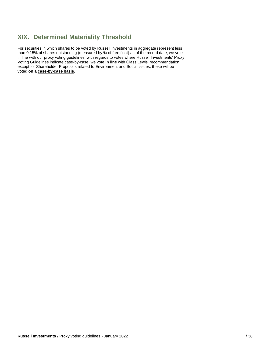## **XIX. Determined Materiality Threshold**

For securities in which shares to be voted by Russell Investments in aggregate represent less than 0.15% of shares outstanding (measured by % of free float) as of the record date, we vote in line with our proxy voting guidelines; with regards to votes where Russell Investments' Proxy Voting Guidelines indicate case-by-case, we vote **in line** with Glass Lewis' recommendation, except for Shareholder Proposals related to Environment and Social issues, these will be voted **on a case-by-case basis**.